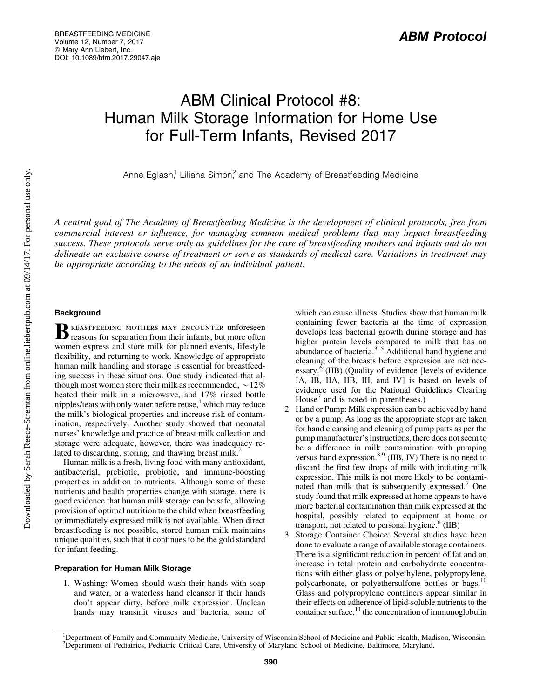# ABM Clinical Protocol #8: Human Milk Storage Information for Home Use for Full-Term Infants, Revised 2017

Anne Eglash,<sup>1</sup> Liliana Simon,<sup>2</sup> and The Academy of Breastfeeding Medicine

*A central goal of The Academy of Breastfeeding Medicine is the development of clinical protocols, free from commercial interest or influence, for managing common medical problems that may impact breastfeeding success. These protocols serve only as guidelines for the care of breastfeeding mothers and infants and do not delineate an exclusive course of treatment or serve as standards of medical care. Variations in treatment may be appropriate according to the needs of an individual patient.*

# **Background**

BREASTFEEDING MOTHERS MAY ENCOUNTER unforeseen<br>reasons for separation from their infants, but more often women express and store milk for planned events, lifestyle flexibility, and returning to work. Knowledge of appropriate human milk handling and storage is essential for breastfeeding success in these situations. One study indicated that although most women store their milk as recommended,  $\sim$  12% heated their milk in a microwave, and 17% rinsed bottle nipples/teats with only water before reuse, $\frac{1}{2}$  which may reduce the milk's biological properties and increase risk of contamination, respectively. Another study showed that neonatal nurses' knowledge and practice of breast milk collection and storage were adequate, however, there was inadequacy related to discarding, storing, and thawing breast milk.<sup>2</sup>

Human milk is a fresh, living food with many antioxidant, antibacterial, prebiotic, probiotic, and immune-boosting properties in addition to nutrients. Although some of these nutrients and health properties change with storage, there is good evidence that human milk storage can be safe, allowing provision of optimal nutrition to the child when breastfeeding or immediately expressed milk is not available. When direct breastfeeding is not possible, stored human milk maintains unique qualities, such that it continues to be the gold standard for infant feeding.

## Preparation for Human Milk Storage

1. Washing: Women should wash their hands with soap and water, or a waterless hand cleanser if their hands don't appear dirty, before milk expression. Unclean hands may transmit viruses and bacteria, some of which can cause illness. Studies show that human milk containing fewer bacteria at the time of expression develops less bacterial growth during storage and has higher protein levels compared to milk that has an abundance of bacteria. $3-5$  Additional hand hygiene and cleaning of the breasts before expression are not necessary. $<sup>6</sup>$  (IIB) (Quality of evidence [levels of evidence</sup> IA, IB, IIA, IIB, III, and IV] is based on levels of evidence used for the National Guidelines Clearing House<sup>7</sup> and is noted in parentheses.)

- 2. Hand or Pump: Milk expression can be achieved by hand or by a pump. As long as the appropriate steps are taken for hand cleansing and cleaning of pump parts as per the pump manufacturer's instructions, there does not seem to be a difference in milk contamination with pumping versus hand expression.<sup>8,9</sup> (IIB, IV) There is no need to discard the first few drops of milk with initiating milk expression. This milk is not more likely to be contaminated than milk that is subsequently expressed.<sup>7</sup> One study found that milk expressed at home appears to have more bacterial contamination than milk expressed at the hospital, possibly related to equipment at home or transport, not related to personal hygiene. $<sup>6</sup>$  (IIB)</sup>
- 3. Storage Container Choice: Several studies have been done to evaluate a range of available storage containers. There is a significant reduction in percent of fat and an increase in total protein and carbohydrate concentrations with either glass or polyethylene, polypropylene, polycarbonate, or polyethersulfone bottles or bags.<sup>10</sup> Glass and polypropylene containers appear similar in their effects on adherence of lipid-soluble nutrients to the container surface, $^{11}$  the concentration of immunoglobulin

<sup>&</sup>lt;sup>1</sup>Department of Family and Community Medicine, University of Wisconsin School of Medicine and Public Health, Madison, Wisconsin. <sup>2</sup>Department of Pediatrics, Pediatric Critical Care, University of Maryland School of Medicine, Baltimore, Maryland.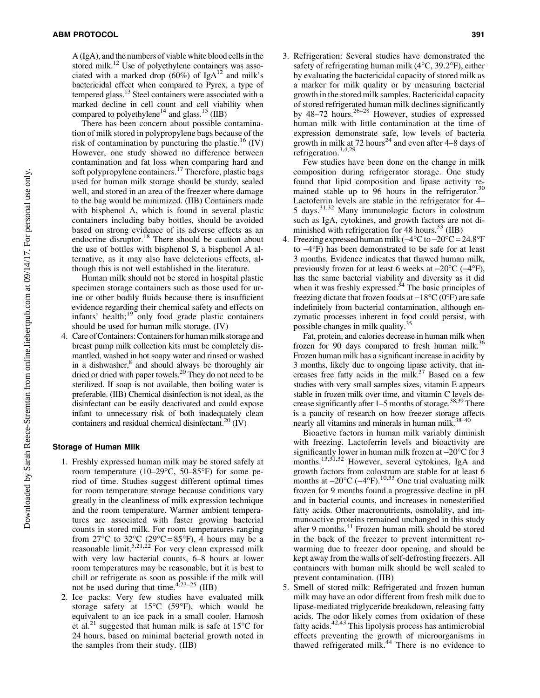A (IgA), and the numbers of viable white blood cells in the stored milk.<sup>12</sup> Use of polyethylene containers was associated with a marked drop (60%) of IgA $^{12}$  and milk's bactericidal effect when compared to Pyrex, a type of tempered glass.<sup>13</sup> Steel containers were associated with a marked decline in cell count and cell viability when compared to polyethylene<sup>14</sup> and glass.<sup>15</sup> (IIB)

There has been concern about possible contamination of milk stored in polypropylene bags because of the risk of contamination by puncturing the plastic.<sup>16</sup> (IV) However, one study showed no difference between contamination and fat loss when comparing hard and soft polypropylene containers.<sup>17</sup> Therefore, plastic bags used for human milk storage should be sturdy, sealed well, and stored in an area of the freezer where damage to the bag would be minimized. (IIB) Containers made with bisphenol A, which is found in several plastic containers including baby bottles, should be avoided based on strong evidence of its adverse effects as an endocrine disruptor.<sup>18</sup> There should be caution about the use of bottles with bisphenol S, a bisphenol A alternative, as it may also have deleterious effects, although this is not well established in the literature.

Human milk should not be stored in hospital plastic specimen storage containers such as those used for urine or other bodily fluids because there is insufficient evidence regarding their chemical safety and effects on infants' health;<sup>19</sup> only food grade plastic containers should be used for human milk storage. (IV)

4. Care of Containers:Containers for human milk storage and breast pump milk collection kits must be completely dismantled, washed in hot soapy water and rinsed or washed in a dishwasher, $\delta$  and should always be thoroughly air dried or dried with paper towels.<sup>20</sup> They do not need to be sterilized. If soap is not available, then boiling water is preferable. (IIB) Chemical disinfection is not ideal, as the disinfectant can be easily deactivated and could expose infant to unnecessary risk of both inadequately clean containers and residual chemical disinfectant.<sup>20</sup> (IV)

### Storage of Human Milk

- 1. Freshly expressed human milk may be stored safely at room temperature  $(10-29\degree C, 50-85\degree F)$  for some period of time. Studies suggest different optimal times for room temperature storage because conditions vary greatly in the cleanliness of milk expression technique and the room temperature. Warmer ambient temperatures are associated with faster growing bacterial counts in stored milk. For room temperatures ranging from 27<sup>o</sup>C to 32<sup>o</sup>C (29<sup>o</sup>C = 85<sup>o</sup>F), 4 hours may be a reasonable limit.<sup>5,21,22</sup> For very clean expressed milk with very low bacterial counts, 6–8 hours at lower room temperatures may be reasonable, but it is best to chill or refrigerate as soon as possible if the milk will not be used during that time.<sup>4,23–25</sup> (IIB)
- 2. Ice packs: Very few studies have evaluated milk storage safety at  $15^{\circ}$ C (59 $^{\circ}$ F), which would be equivalent to an ice pack in a small cooler. Hamosh et al.<sup>21</sup> suggested that human milk is safe at 15 $\rm ^{\circ}C$  for 24 hours, based on minimal bacterial growth noted in the samples from their study. (IIB)

3. Refrigeration: Several studies have demonstrated the safety of refrigerating human milk  $(4^{\circ}C, 39.2^{\circ}F)$ , either by evaluating the bactericidal capacity of stored milk as a marker for milk quality or by measuring bacterial growth in the stored milk samples. Bactericidal capacity of stored refrigerated human milk declines significantly by 48–72 hours.<sup>26–28</sup> However, studies of expressed human milk with little contamination at the time of expression demonstrate safe, low levels of bacteria growth in milk at 72 hours<sup>24</sup> and even after  $4-8$  days of refrigeration.3,4,29

Few studies have been done on the change in milk composition during refrigerator storage. One study found that lipid composition and lipase activity remained stable up to 96 hours in the refrigerator. $30$ Lactoferrin levels are stable in the refrigerator for 4– 5 days.<sup>31,32</sup> Many immunologic factors in colostrum such as IgA, cytokines, and growth factors are not diminished with refrigeration for 48 hours.<sup>33</sup> (IIB)

4. Freezing expressed human milk  $(-4^{\circ}\text{C to } -20^{\circ}\text{C} = 24.8^{\circ}\text{F})$ to  $-4^{\circ}$ F) has been demonstrated to be safe for at least 3 months. Evidence indicates that thawed human milk, previously frozen for at least 6 weeks at  $-20^{\circ}$ C ( $-4^{\circ}$ F), has the same bacterial viability and diversity as it did when it was freshly expressed. $34$  The basic principles of freezing dictate that frozen foods at  $-18\textdegree C$  (0 $\textdegree F$ ) are safe indefinitely from bacterial contamination, although enzymatic processes inherent in food could persist, with possible changes in milk quality. $35$ 

Fat, protein, and calories decrease in human milk when frozen for 90 days compared to fresh human milk.<sup>36</sup> Frozen human milk has a significant increase in acidity by 3 months, likely due to ongoing lipase activity, that increases free fatty acids in the milk. $37$  Based on a few studies with very small samples sizes, vitamin E appears stable in frozen milk over time, and vitamin C levels decrease significantly after  $1-5$  months of storage.<sup>38,39</sup> There is a paucity of research on how freezer storage affects nearly all vitamins and minerals in human milk.<sup>38-40</sup>

Bioactive factors in human milk variably diminish with freezing. Lactoferrin levels and bioactivity are significantly lower in human milk frozen at  $-20^{\circ}$ C for 3 months.<sup>13,31,32</sup> However, several cytokines, IgA and growth factors from colostrum are stable for at least 6 months at  $-20^{\circ}$ C ( $-4^{\circ}$ F).<sup>10,33</sup> One trial evaluating milk frozen for 9 months found a progressive decline in pH and in bacterial counts, and increases in nonesterified fatty acids. Other macronutrients, osmolality, and immunoactive proteins remained unchanged in this study after 9 months.<sup>41</sup> Frozen human milk should be stored in the back of the freezer to prevent intermittent rewarming due to freezer door opening, and should be kept away from the walls of self-defrosting freezers. All containers with human milk should be well sealed to prevent contamination. (IIB)

5. Smell of stored milk: Refrigerated and frozen human milk may have an odor different from fresh milk due to lipase-mediated triglyceride breakdown, releasing fatty acids. The odor likely comes from oxidation of these fatty acids.42,43 This lipolysis process has antimicrobial effects preventing the growth of microorganisms in thawed refrigerated milk.<sup>44</sup> There is no evidence to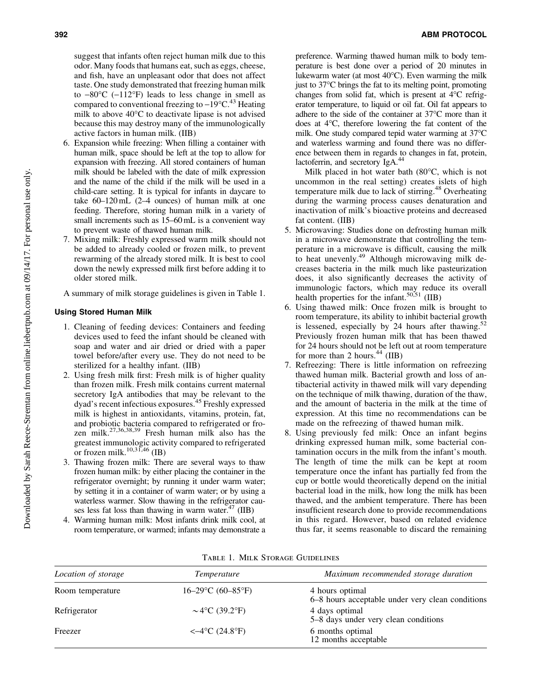suggest that infants often reject human milk due to this odor. Many foods that humans eat, such as eggs, cheese, and fish, have an unpleasant odor that does not affect taste. One study demonstrated that freezing human milk to  $-80\degree$ C ( $-112\degree$ F) leads to less change in smell as compared to conventional freezing to  $-19^{\circ}$ C.<sup>43</sup> Heating milk to above  $40^{\circ}$ C to deactivate lipase is not advised because this may destroy many of the immunologically active factors in human milk. (IIB)

- 6. Expansion while freezing: When filling a container with human milk, space should be left at the top to allow for expansion with freezing. All stored containers of human milk should be labeled with the date of milk expression and the name of the child if the milk will be used in a child-care setting. It is typical for infants in daycare to take 60–120 mL (2–4 ounces) of human milk at one feeding. Therefore, storing human milk in a variety of small increments such as  $15-60$  mL is a convenient way to prevent waste of thawed human milk.
- 7. Mixing milk: Freshly expressed warm milk should not be added to already cooled or frozen milk, to prevent rewarming of the already stored milk. It is best to cool down the newly expressed milk first before adding it to older stored milk.

A summary of milk storage guidelines is given in Table 1.

## Using Stored Human Milk

- 1. Cleaning of feeding devices: Containers and feeding devices used to feed the infant should be cleaned with soap and water and air dried or dried with a paper towel before/after every use. They do not need to be sterilized for a healthy infant. (IIB)
- 2. Using fresh milk first: Fresh milk is of higher quality than frozen milk. Fresh milk contains current maternal secretory IgA antibodies that may be relevant to the dyad's recent infectious exposures.<sup>45</sup> Freshly expressed milk is highest in antioxidants, vitamins, protein, fat, and probiotic bacteria compared to refrigerated or frozen milk.<sup>27,36,38,39</sup> Fresh human milk also has the greatest immunologic activity compared to refrigerated or frozen milk.<sup>10,31,46</sup> (IB)
- 3. Thawing frozen milk: There are several ways to thaw frozen human milk: by either placing the container in the refrigerator overnight; by running it under warm water; by setting it in a container of warm water; or by using a waterless warmer. Slow thawing in the refrigerator causes less fat loss than thawing in warm water. $47$  (IIB)
- 4. Warming human milk: Most infants drink milk cool, at room temperature, or warmed; infants may demonstrate a

preference. Warming thawed human milk to body temperature is best done over a period of 20 minutes in lukewarm water (at most 40°C). Even warming the milk just to 37°C brings the fat to its melting point, promoting changes from solid fat, which is present at  $4^{\circ}C$  refrigerator temperature, to liquid or oil fat. Oil fat appears to adhere to the side of the container at 37°C more than it does at 4°C, therefore lowering the fat content of the milk. One study compared tepid water warming at 37°C and waterless warming and found there was no difference between them in regards to changes in fat, protein, lactoferrin, and secretory IgA.<sup>44</sup>

Milk placed in hot water bath (80°C, which is not uncommon in the real setting) creates islets of high temperature milk due to lack of stirring.<sup>48</sup> Overheating during the warming process causes denaturation and inactivation of milk's bioactive proteins and decreased fat content. (IIB)

- 5. Microwaving: Studies done on defrosting human milk in a microwave demonstrate that controlling the temperature in a microwave is difficult, causing the milk to heat unevenly.<sup>49</sup> Although microwaving milk decreases bacteria in the milk much like pasteurization does, it also significantly decreases the activity of immunologic factors, which may reduce its overall health properties for the infant.<sup>50,51</sup> (IIB)
- 6. Using thawed milk: Once frozen milk is brought to room temperature, its ability to inhibit bacterial growth is lessened, especially by 24 hours after thawing.<sup>5</sup> Previously frozen human milk that has been thawed for 24 hours should not be left out at room temperature for more than 2 hours. $44$  (IIB)
- 7. Refreezing: There is little information on refreezing thawed human milk. Bacterial growth and loss of antibacterial activity in thawed milk will vary depending on the technique of milk thawing, duration of the thaw, and the amount of bacteria in the milk at the time of expression. At this time no recommendations can be made on the refreezing of thawed human milk.
- 8. Using previously fed milk: Once an infant begins drinking expressed human milk, some bacterial contamination occurs in the milk from the infant's mouth. The length of time the milk can be kept at room temperature once the infant has partially fed from the cup or bottle would theoretically depend on the initial bacterial load in the milk, how long the milk has been thawed, and the ambient temperature. There has been insufficient research done to provide recommendations in this regard. However, based on related evidence thus far, it seems reasonable to discard the remaining

| Location of storage | <i>Temperature</i>    | Maximum recommended storage duration                                |
|---------------------|-----------------------|---------------------------------------------------------------------|
| Room temperature    | $16-29$ °C (60-85°F)  | 4 hours optimal<br>6–8 hours acceptable under very clean conditions |
| Refrigerator        | $\sim$ 4°C (39.2°F)   | 4 days optimal<br>5–8 days under very clean conditions              |
| Freezer             | $\leq -4$ °C (24.8°F) | 6 months optimal<br>12 months acceptable                            |

Table 1. Milk Storage Guidelines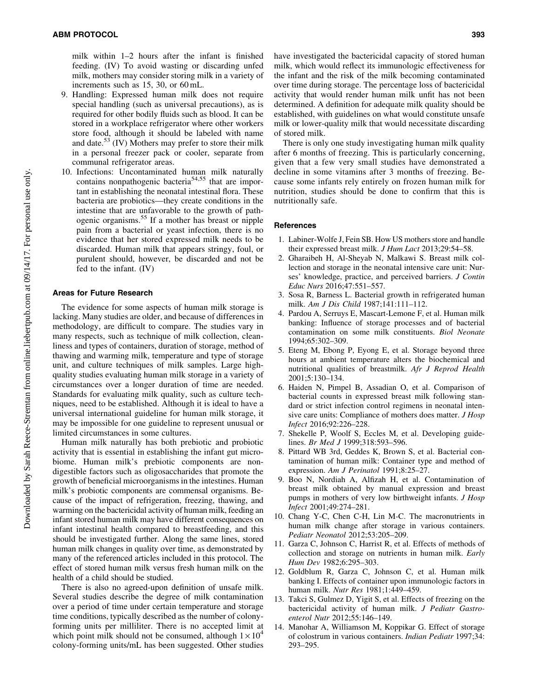milk within 1–2 hours after the infant is finished feeding. (IV) To avoid wasting or discarding unfed milk, mothers may consider storing milk in a variety of increments such as 15, 30, or 60 mL.

- 9. Handling: Expressed human milk does not require special handling (such as universal precautions), as is required for other bodily fluids such as blood. It can be stored in a workplace refrigerator where other workers store food, although it should be labeled with name and date.<sup>53</sup> (IV) Mothers may prefer to store their milk in a personal freezer pack or cooler, separate from communal refrigerator areas.
- 10. Infections: Uncontaminated human milk naturally contains nonpathogenic bacteria<sup>54,55</sup> that are important in establishing the neonatal intestinal flora. These bacteria are probiotics—they create conditions in the intestine that are unfavorable to the growth of pathogenic organisms.<sup>55</sup> If a mother has breast or nipple pain from a bacterial or yeast infection, there is no evidence that her stored expressed milk needs to be discarded. Human milk that appears stringy, foul, or purulent should, however, be discarded and not be fed to the infant. (IV)

#### Areas for Future Research

The evidence for some aspects of human milk storage is lacking. Many studies are older, and because of differences in methodology, are difficult to compare. The studies vary in many respects, such as technique of milk collection, cleanliness and types of containers, duration of storage, method of thawing and warming milk, temperature and type of storage unit, and culture techniques of milk samples. Large highquality studies evaluating human milk storage in a variety of circumstances over a longer duration of time are needed. Standards for evaluating milk quality, such as culture techniques, need to be established. Although it is ideal to have a universal international guideline for human milk storage, it may be impossible for one guideline to represent unusual or limited circumstances in some cultures.

Human milk naturally has both prebiotic and probiotic activity that is essential in establishing the infant gut microbiome. Human milk's prebiotic components are nondigestible factors such as oligosaccharides that promote the growth of beneficial microorganisms in the intestines. Human milk's probiotic components are commensal organisms. Because of the impact of refrigeration, freezing, thawing, and warming on the bactericidal activity of human milk, feeding an infant stored human milk may have different consequences on infant intestinal health compared to breastfeeding, and this should be investigated further. Along the same lines, stored human milk changes in quality over time, as demonstrated by many of the referenced articles included in this protocol. The effect of stored human milk versus fresh human milk on the health of a child should be studied.

There is also no agreed-upon definition of unsafe milk. Several studies describe the degree of milk contamination over a period of time under certain temperature and storage time conditions, typically described as the number of colonyforming units per milliliter. There is no accepted limit at which point milk should not be consumed, although  $1 \times 10^4$ colony-forming units/mL has been suggested. Other studies have investigated the bactericidal capacity of stored human milk, which would reflect its immunologic effectiveness for the infant and the risk of the milk becoming contaminated over time during storage. The percentage loss of bactericidal activity that would render human milk unfit has not been determined. A definition for adequate milk quality should be established, with guidelines on what would constitute unsafe milk or lower-quality milk that would necessitate discarding of stored milk.

There is only one study investigating human milk quality after 6 months of freezing. This is particularly concerning, given that a few very small studies have demonstrated a decline in some vitamins after 3 months of freezing. Because some infants rely entirely on frozen human milk for nutrition, studies should be done to confirm that this is nutritionally safe.

#### References

- 1. Labiner-Wolfe J, Fein SB. How US mothers store and handle their expressed breast milk. *J Hum Lact* 2013;29:54–58.
- 2. Gharaibeh H, Al-Sheyab N, Malkawi S. Breast milk collection and storage in the neonatal intensive care unit: Nurses' knowledge, practice, and perceived barriers. *J Contin Educ Nurs* 2016;47:551–557.
- 3. Sosa R, Barness L. Bacterial growth in refrigerated human milk. *Am J Dis Child* 1987;141:111–112.
- 4. Pardou A, Serruys E, Mascart-Lemone F, et al. Human milk banking: Influence of storage processes and of bacterial contamination on some milk constituents. *Biol Neonate* 1994;65:302–309.
- 5. Eteng M, Ebong P, Eyong E, et al. Storage beyond three hours at ambient temperature alters the biochemical and nutritional qualities of breastmilk. *Afr J Reprod Health* 2001;5:130–134.
- 6. Haiden N, Pimpel B, Assadian O, et al. Comparison of bacterial counts in expressed breast milk following standard or strict infection control regimens in neonatal intensive care units: Compliance of mothers does matter. *J Hosp Infect* 2016;92:226–228.
- 7. Shekelle P, Woolf S, Eccles M, et al. Developing guidelines. *Br Med J* 1999;318:593–596.
- 8. Pittard WB 3rd, Geddes K, Brown S, et al. Bacterial contamination of human milk: Container type and method of expression. *Am J Perinatol* 1991;8:25–27.
- 9. Boo N, Nordiah A, Alfizah H, et al. Contamination of breast milk obtained by manual expression and breast pumps in mothers of very low birthweight infants. *J Hosp Infect* 2001;49:274–281.
- 10. Chang Y-C, Chen C-H, Lin M-C. The macronutrients in human milk change after storage in various containers. *Pediatr Neonatol* 2012;53:205–209.
- 11. Garza C, Johnson C, Harrist R, et al. Effects of methods of collection and storage on nutrients in human milk. *Early Hum Dev* 1982;6:295–303.
- 12. Goldblum R, Garza C, Johnson C, et al. Human milk banking I. Effects of container upon immunologic factors in human milk. *Nutr Res* 1981;1:449–459.
- 13. Takci S, Gulmez D, Yigit S, et al. Effects of freezing on the bactericidal activity of human milk. *J Pediatr Gastroenterol Nutr* 2012;55:146–149.
- 14. Manohar A, Williamson M, Koppikar G. Effect of storage of colostrum in various containers. *Indian Pediatr* 1997;34: 293–295.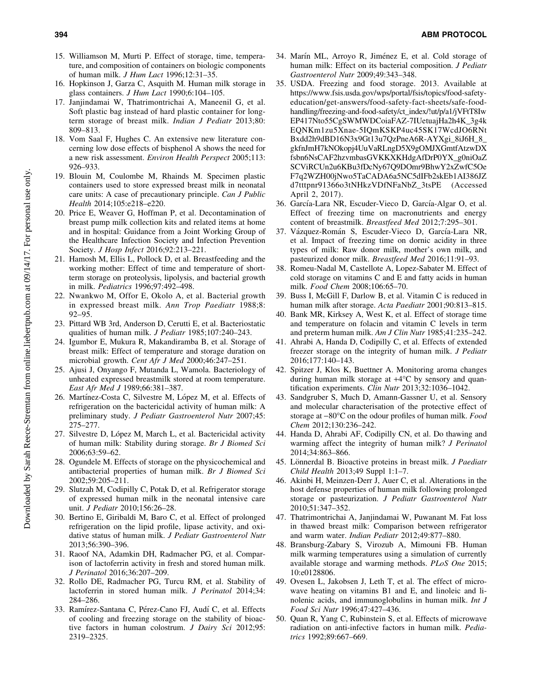- 15. Williamson M, Murti P. Effect of storage, time, temperature, and composition of containers on biologic components of human milk. *J Hum Lact* 1996;12:31–35.
- 16. Hopkinson J, Garza C, Asquith M. Human milk storage in glass containers. *J Hum Lact* 1990;6:104–105.
- 17. Janjindamai W, Thatrimontrichai A, Maneenil G, et al. Soft plastic bag instead of hard plastic container for longterm storage of breast milk. *Indian J Pediatr* 2013;80: 809–813.
- 18. Vom Saal F, Hughes C. An extensive new literature concerning low dose effects of bisphenol A shows the need for a new risk assessment. *Environ Health Perspect* 2005;113: 926–933.
- 19. Blouin M, Coulombe M, Rhainds M. Specimen plastic containers used to store expressed breast milk in neonatal care units: A case of precautionary principle. *Can J Public Health* 2014;105:e218–e220.
- 20. Price E, Weaver G, Hoffman P, et al. Decontamination of breast pump milk collection kits and related items at home and in hospital: Guidance from a Joint Working Group of the Healthcare Infection Society and Infection Prevention Society. *J Hosp Infect* 2016;92:213–221.
- 21. Hamosh M, Ellis L, Pollock D, et al. Breastfeeding and the working mother: Effect of time and temperature of shortterm storage on proteolysis, lipolysis, and bacterial growth in milk. *Pediatrics* 1996;97:492–498.
- 22. Nwankwo M, Offor E, Okolo A, et al. Bacterial growth in expressed breast milk. *Ann Trop Paediatr* 1988;8: 92–95.
- 23. Pittard WB 3rd, Anderson D, Cerutti E, et al. Bacteriostatic qualities of human milk. *J Pediatr* 1985;107:240–243.
- 24. Igumbor E, Mukura R, Makandiramba B, et al. Storage of breast milk: Effect of temperature and storage duration on microbial growth. *Cent Afr J Med* 2000;46:247–251.
- 25. Ajusi J, Onyango F, Mutanda L, Wamola. Bacteriology of unheated expressed breastmilk stored at room temperature. *East Afr Med J* 1989;66:381–387.
- 26. Martínez-Costa C, Silvestre M, López M, et al. Effects of refrigeration on the bactericidal activity of human milk: A preliminary study. *J Pediatr Gastroenterol Nutr* 2007;45: 275–277.
- 27. Silvestre D, López M, March L, et al. Bactericidal activity of human milk: Stability during storage. *Br J Biomed Sci* 2006;63:59–62.
- 28. Ogundele M. Effects of storage on the physicochemical and antibacterial properties of human milk. *Br J Biomed Sci* 2002;59:205–211.
- 29. Slutzah M, Codipilly C, Potak D, et al. Refrigerator storage of expressed human milk in the neonatal intensive care unit. *J Pediatr* 2010;156:26–28.
- 30. Bertino E, Giribaldi M, Baro C, et al. Effect of prolonged refrigeration on the lipid profile, lipase activity, and oxidative status of human milk. *J Pediatr Gastroenterol Nutr* 2013;56:390–396.
- 31. Raoof NA, Adamkin DH, Radmacher PG, et al. Comparison of lactoferrin activity in fresh and stored human milk. *J Perinatol* 2016;36:207–209.
- 32. Rollo DE, Radmacher PG, Turcu RM, et al. Stability of lactoferrin in stored human milk. *J Perinatol* 2014;34: 284–286.
- 33. Ramírez-Santana C, Pérez-Cano FJ, Audí C, et al. Effects of cooling and freezing storage on the stability of bioactive factors in human colostrum. *J Dairy Sci* 2012;95: 2319–2325.
- 34. Marín ML, Arroyo R, Jiménez E, et al. Cold storage of human milk: Effect on its bacterial composition. *J Pediatr Gastroenterol Nutr* 2009;49:343–348.
- 35. USDA. Freezing and food storage. 2013. Available at https://www.fsis.usda.gov/wps/portal/fsis/topics/food-safetyeducation/get-answers/food-safety-fact-sheets/safe-foodhandling/freezing-and-food-safety/ct\_index/!ut/p/a1/jVFtT8Iw EP417Nto55CgSWMWDCoiaFAZ-7IUetuajHa2h4K\_3g4k EQNKm1zu5Xnae-5IQmKSKP4uc45SK17WcdJO6RNt Bxdd2h9dBD16N3x9Gt13u7QzPneA6R-AYXgi\_8iJ6H\_8\_ gkfnJmH7kNOkopj4UuVaRLngD5X9gOMJXGmtfAtzwDX fsbn6NsCAF2hzvmbasGVKKXKHdgAfDrP0YX\_g0niOaZ SCViRCUn2u6KBu3fDcNy67Q9DOmr9BhwY2xZwfC5Oe F7q2WZH00jNwo5TaCADA6a5NC5dIFb2skEb1AI386JZ d7tttpnr91366o3tNHkzVDfNFaNbZ\_3tsPE (Accessed April 2, 2017).
- 36. García-Lara NR, Escuder-Vieco D, García-Algar O, et al. Effect of freezing time on macronutrients and energy content of breastmilk. *Breastfeed Med* 2012;7:295–301.
- 37. Vázquez-Román S, Escuder-Vieco D, García-Lara NR, et al. Impact of freezing time on dornic acidity in three types of milk: Raw donor milk, mother's own milk, and pasteurized donor milk. *Breastfeed Med* 2016;11:91–93.
- 38. Romeu-Nadal M, Castellote A, Lopez-Sabater M. Effect of cold storage on vitamins C and E and fatty acids in human milk. *Food Chem* 2008;106:65–70.
- 39. Buss I, McGill F, Darlow B, et al. Vitamin C is reduced in human milk after storage. *Acta Paediatr* 2001;90:813–815.
- 40. Bank MR, Kirksey A, West K, et al. Effect of storage time and temperature on folacin and vitamin C levels in term and preterm human milk. *Am J Clin Nutr* 1985;41:235–242.
- 41. Ahrabi A, Handa D, Codipilly C, et al. Effects of extended freezer storage on the integrity of human milk. *J Pediatr* 2016;177:140–143.
- 42. Spitzer J, Klos K, Buettner A. Monitoring aroma changes during human milk storage at  $+4^{\circ}$ C by sensory and quantification experiments. *Clin Nutr* 2013;32:1036–1042.
- 43. Sandgruber S, Much D, Amann-Gassner U, et al. Sensory and molecular characterisation of the protective effect of storage at  $-80^{\circ}$ C on the odour profiles of human milk. *Food Chem* 2012;130:236–242.
- 44. Handa D, Ahrabi AF, Codipilly CN, et al. Do thawing and warming affect the integrity of human milk? *J Perinatol* 2014;34:863–866.
- 45. Lönnerdal B. Bioactive proteins in breast milk. *J Paediatr Child Health* 2013;49 Suppl 1:1–7.
- 46. Akinbi H, Meinzen-Derr J, Auer C, et al. Alterations in the host defense properties of human milk following prolonged storage or pasteurization. *J Pediatr Gastroenterol Nutr* 2010;51:347–352.
- 47. Thatrimontrichai A, Janjindamai W, Puwanant M. Fat loss in thawed breast milk: Comparison between refrigerator and warm water. *Indian Pediatr* 2012;49:877–880.
- 48. Bransburg-Zabary S, Virozub A, Mimouni FB. Human milk warming temperatures using a simulation of currently available storage and warming methods. *PLoS One* 2015; 10:e0128806.
- 49. Ovesen L, Jakobsen J, Leth T, et al. The effect of microwave heating on vitamins B1 and E, and linoleic and linolenic acids, and immunoglobulins in human milk. *Int J Food Sci Nutr* 1996;47:427–436.
- 50. Quan R, Yang C, Rubinstein S, et al. Effects of microwave radiation on anti-infective factors in human milk. *Pediatrics* 1992;89:667–669.